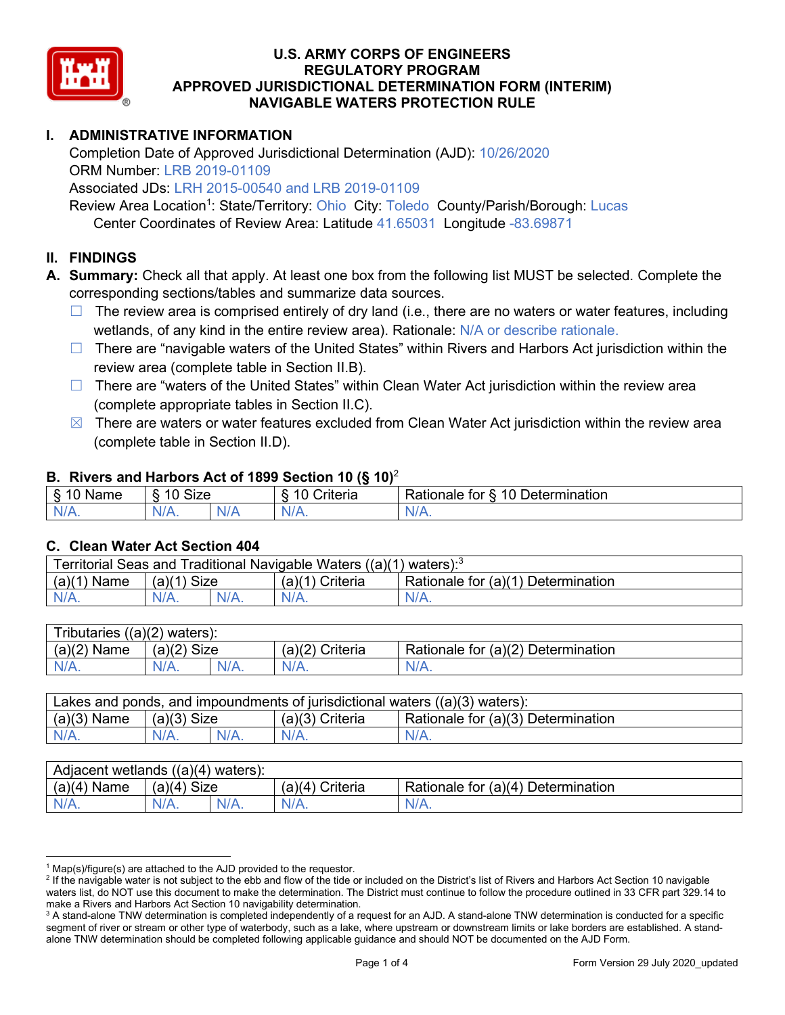

# **I. ADMINISTRATIVE INFORMATION**

Completion Date of Approved Jurisdictional Determination (AJD): 10/26/2020 ORM Number: LRB 2019-01109

Associated JDs: LRH 2015-00540 and LRB 2019-01109

Review Area Location<sup>1</sup>: State/Territory: Ohio City: Toledo County/Parish/Borough: Lucas

Center Coordinates of Review Area: Latitude 41.65031 Longitude -83.69871

## **II. FINDINGS**

**A. Summary:** Check all that apply. At least one box from the following list MUST be selected. Complete the corresponding sections/tables and summarize data sources.

- $\Box$  The review area is comprised entirely of dry land (i.e., there are no waters or water features, including wetlands, of any kind in the entire review area). Rationale: N/A or describe rationale.
- $\Box$  There are "navigable waters of the United States" within Rivers and Harbors Act jurisdiction within the review area (complete table in Section II.B).
- $\Box$  There are "waters of the United States" within Clean Water Act jurisdiction within the review area (complete appropriate tables in Section II.C).
- $\boxtimes$  There are waters or water features excluded from Clean Water Act jurisdiction within the review area (complete table in Section II.D).

#### **B. Rivers and Harbors Act of 1899 Section 10 (§ 10)**<sup>2</sup>

| $\cdot$        |                                            |               |                                          |                                               |  |
|----------------|--------------------------------------------|---------------|------------------------------------------|-----------------------------------------------|--|
| $\sim$<br>Name | <b>Size</b><br>$\overline{A}$<br>C)<br>ιv. |               | 10<br>. .<br>$"$ ritorio<br>ונסו וכ<br>u | Determination<br>$\Delta$<br>'ationale<br>tor |  |
| N/L<br>. .     | NIZ<br>97 / TV .                           | 'NH a<br>vi r |                                          | N/A.                                          |  |

#### **C. Clean Water Act Section 404**

| Territorial Seas and Traditional Navigable Waters ((a)(1)<br>) waters): $3$ |                |  |                      |                                    |  |
|-----------------------------------------------------------------------------|----------------|--|----------------------|------------------------------------|--|
| (a)(1)<br>Name                                                              | Size<br>(a)(1) |  | (a)(1)<br>' Criteria | Rationale for (a)(1) Determination |  |
|                                                                             | $N/A$ .        |  | $N/A$ .              | $N/A$ .                            |  |

| <b>Tributaries</b><br>((a)(2))<br>waters): |                       |         |                    |                                    |  |  |
|--------------------------------------------|-----------------------|---------|--------------------|------------------------------------|--|--|
| (a)(2)<br>Name                             | <b>Size</b><br>(a)(2) |         | (a)(2)<br>Criteria | Rationale for (a)(2) Determination |  |  |
| $N/A$ .                                    | N/A.                  | $N/A$ . | $N/A$ .            | N/A.                               |  |  |

| Lakes and ponds, and impoundments of jurisdictional waters $((a)(3)$ waters): |               |  |                   |                                    |  |
|-------------------------------------------------------------------------------|---------------|--|-------------------|------------------------------------|--|
| $(a)(3)$ Name                                                                 | $(a)(3)$ Size |  | $(a)(3)$ Criteria | Rationale for (a)(3) Determination |  |
| $N/A$ .                                                                       | $N/A$ .       |  | $N/A$ .           | $N/A$ .                            |  |

| Adjacent<br>((a)(4)<br>) waters):<br>wetlands |                       |         |                   |                                          |  |  |
|-----------------------------------------------|-----------------------|---------|-------------------|------------------------------------------|--|--|
| (a)(4)<br>Name                                | (a)(4)<br><b>Size</b> |         | (a)(4<br>Criteria | (a)(4)<br>Rationale for<br>Determination |  |  |
| N/A.                                          | $N/A$ .               | $N/A$ . | $N/A$ .           | $N/A$ .                                  |  |  |

 $^1$  Map(s)/figure(s) are attached to the AJD provided to the requestor.<br><sup>2</sup> If the navigable water is not subject to the ebb and flow of the tide or included on the District's list of Rivers and Harbors Act Section 10 na waters list, do NOT use this document to make the determination. The District must continue to follow the procedure outlined in 33 CFR part 329.14 to make a Rivers and Harbors Act Section 10 navigability determination.

<sup>&</sup>lt;sup>3</sup> A stand-alone TNW determination is completed independently of a request for an AJD. A stand-alone TNW determination is conducted for a specific segment of river or stream or other type of waterbody, such as a lake, where upstream or downstream limits or lake borders are established. A standalone TNW determination should be completed following applicable guidance and should NOT be documented on the AJD Form.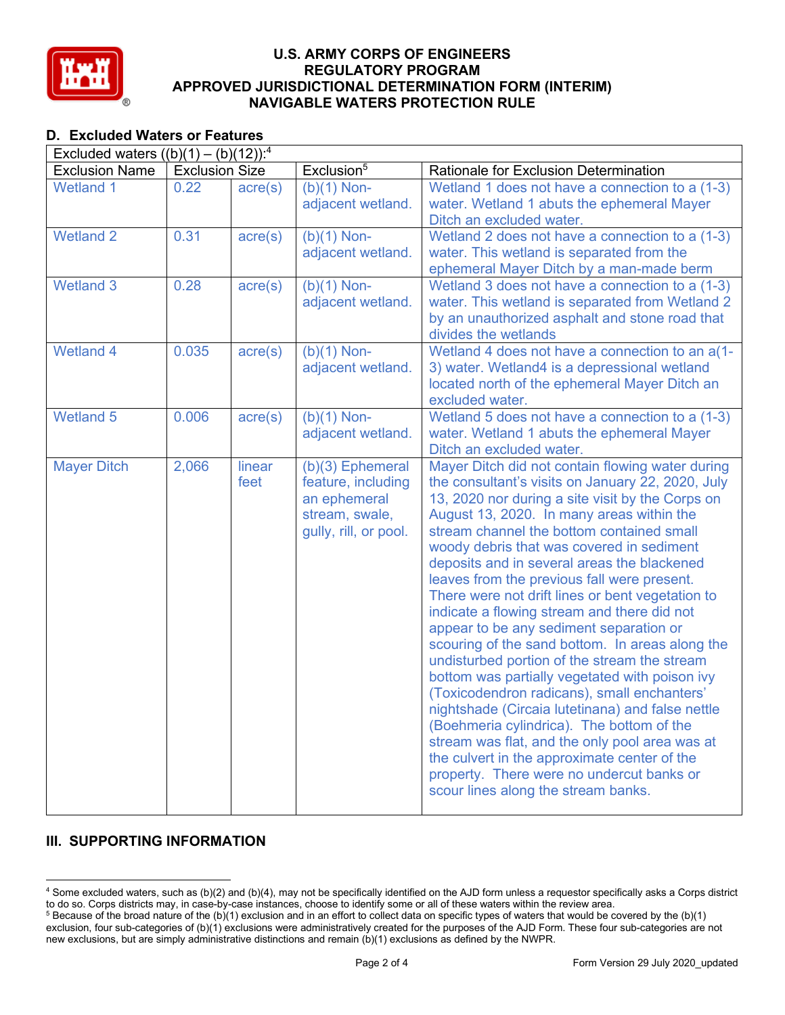

# **D. Excluded Waters or Features**

| Excluded waters $((b)(1) - (b)(12))$ : <sup>4</sup> |                       |                  |                                                                                                   |                                                                                                                                                                                                                                                                                                                                                                                                                                                                                                                                                                                                                                                                                                                                                                                                                                                                                                                                                                                                                                         |  |
|-----------------------------------------------------|-----------------------|------------------|---------------------------------------------------------------------------------------------------|-----------------------------------------------------------------------------------------------------------------------------------------------------------------------------------------------------------------------------------------------------------------------------------------------------------------------------------------------------------------------------------------------------------------------------------------------------------------------------------------------------------------------------------------------------------------------------------------------------------------------------------------------------------------------------------------------------------------------------------------------------------------------------------------------------------------------------------------------------------------------------------------------------------------------------------------------------------------------------------------------------------------------------------------|--|
| <b>Exclusion Name</b>                               | <b>Exclusion Size</b> |                  | Exclusion <sup>5</sup>                                                                            | Rationale for Exclusion Determination                                                                                                                                                                                                                                                                                                                                                                                                                                                                                                                                                                                                                                                                                                                                                                                                                                                                                                                                                                                                   |  |
| <b>Wetland 1</b>                                    | 0.22                  | $\text{acre}(s)$ | $(b)(1)$ Non-<br>adjacent wetland.                                                                | Wetland 1 does not have a connection to a (1-3)<br>water. Wetland 1 abuts the ephemeral Mayer<br>Ditch an excluded water.                                                                                                                                                                                                                                                                                                                                                                                                                                                                                                                                                                                                                                                                                                                                                                                                                                                                                                               |  |
| <b>Wetland 2</b>                                    | 0.31                  | $\text{acre}(s)$ | $(b)(1)$ Non-<br>adjacent wetland.                                                                | Wetland 2 does not have a connection to a (1-3)<br>water. This wetland is separated from the<br>ephemeral Mayer Ditch by a man-made berm                                                                                                                                                                                                                                                                                                                                                                                                                                                                                                                                                                                                                                                                                                                                                                                                                                                                                                |  |
| <b>Wetland 3</b>                                    | 0.28                  | $\text{acre}(s)$ | $(b)(1)$ Non-<br>adjacent wetland.                                                                | Wetland 3 does not have a connection to a (1-3)<br>water. This wetland is separated from Wetland 2<br>by an unauthorized asphalt and stone road that<br>divides the wetlands                                                                                                                                                                                                                                                                                                                                                                                                                                                                                                                                                                                                                                                                                                                                                                                                                                                            |  |
| <b>Wetland 4</b>                                    | 0.035                 | $\text{acre}(s)$ | $(b)(1)$ Non-<br>adjacent wetland.                                                                | Wetland 4 does not have a connection to an a(1-<br>3) water. Wetland4 is a depressional wetland<br>located north of the ephemeral Mayer Ditch an<br>excluded water.                                                                                                                                                                                                                                                                                                                                                                                                                                                                                                                                                                                                                                                                                                                                                                                                                                                                     |  |
| <b>Wetland 5</b>                                    | 0.006                 | $\text{acre}(s)$ | $(b)(1)$ Non-<br>adjacent wetland.                                                                | Wetland 5 does not have a connection to a (1-3)<br>water. Wetland 1 abuts the ephemeral Mayer<br>Ditch an excluded water.                                                                                                                                                                                                                                                                                                                                                                                                                                                                                                                                                                                                                                                                                                                                                                                                                                                                                                               |  |
| <b>Mayer Ditch</b>                                  | 2,066                 | linear<br>feet   | (b)(3) Ephemeral<br>feature, including<br>an ephemeral<br>stream, swale,<br>gully, rill, or pool. | Mayer Ditch did not contain flowing water during<br>the consultant's visits on January 22, 2020, July<br>13, 2020 nor during a site visit by the Corps on<br>August 13, 2020. In many areas within the<br>stream channel the bottom contained small<br>woody debris that was covered in sediment<br>deposits and in several areas the blackened<br>leaves from the previous fall were present.<br>There were not drift lines or bent vegetation to<br>indicate a flowing stream and there did not<br>appear to be any sediment separation or<br>scouring of the sand bottom. In areas along the<br>undisturbed portion of the stream the stream<br>bottom was partially vegetated with poison ivy<br>(Toxicodendron radicans), small enchanters'<br>nightshade (Circaia lutetinana) and false nettle<br>(Boehmeria cylindrica). The bottom of the<br>stream was flat, and the only pool area was at<br>the culvert in the approximate center of the<br>property. There were no undercut banks or<br>scour lines along the stream banks. |  |

# **III. SUPPORTING INFORMATION**

<sup>4</sup> Some excluded waters, such as (b)(2) and (b)(4), may not be specifically identified on the AJD form unless a requestor specifically asks a Corps district to do so. Corps districts may, in case-by-case instances, choose to identify some or all of these waters within the review area.

 $5$  Because of the broad nature of the (b)(1) exclusion and in an effort to collect data on specific types of waters that would be covered by the (b)(1) exclusion, four sub-categories of (b)(1) exclusions were administratively created for the purposes of the AJD Form. These four sub-categories are not new exclusions, but are simply administrative distinctions and remain (b)(1) exclusions as defined by the NWPR.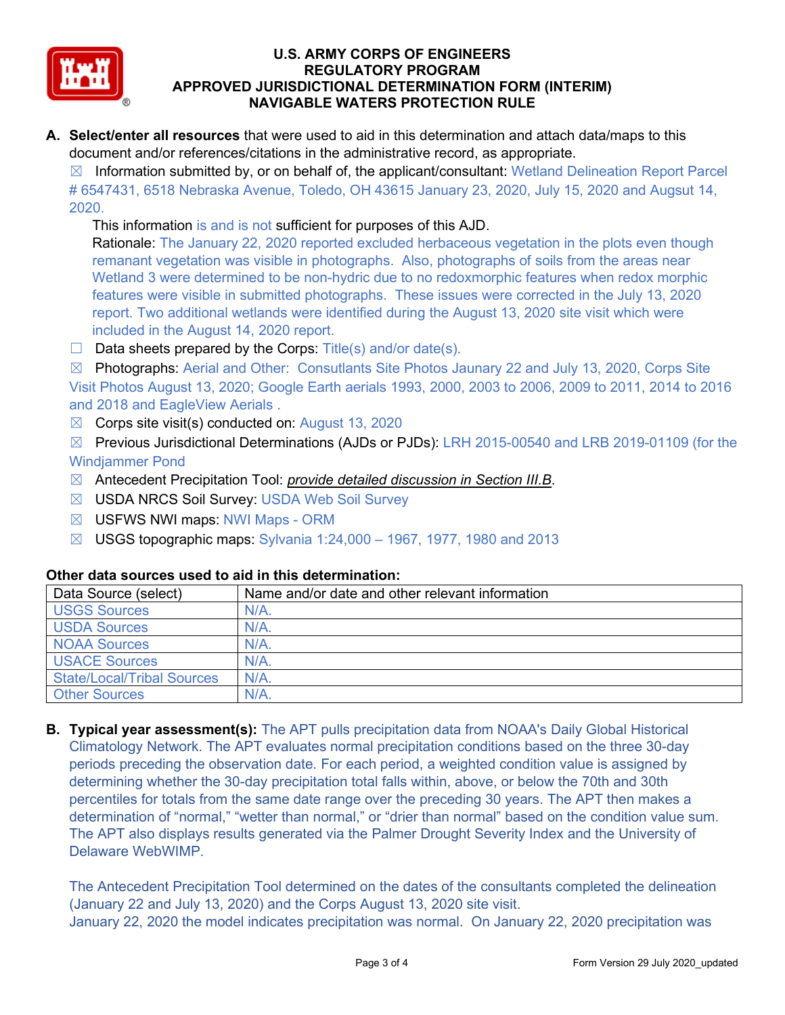

**A. Select/enter all resources** that were used to aid in this determination and attach data/maps to this document and/or references/citations in the administrative record, as appropriate.

 $\boxtimes$  Information submitted by, or on behalf of, the applicant/consultant: Wetland Delineation Report Parcel # 6547431, 6518 Nebraska Avenue, Toledo, OH 43615 January 23, 2020, July 15, 2020 and Augsut 14, 2020.

This information is and is not sufficient for purposes of this AJD.

Rationale: The January 22, 2020 reported excluded herbaceous vegetation in the plots even though remanant vegetation was visible in photographs. Also, photographs of soils from the areas near Wetland 3 were determined to be non-hydric due to no redoxmorphic features when redox morphic features were visible in submitted photographs. These issues were corrected in the July 13, 2020 report. Two additional wetlands were identified during the August 13, 2020 site visit which were included in the August 14, 2020 report.

 $\Box$  Data sheets prepared by the Corps: Title(s) and/or date(s).

☒ Photographs: Aerial and Other: Consutlants Site Photos Jaunary 22 and July 13, 2020, Corps Site Visit Photos August 13, 2020; Google Earth aerials 1993, 2000, 2003 to 2006, 2009 to 2011, 2014 to 2016 and 2018 and EagleView Aerials .

 $\boxtimes$  Corps site visit(s) conducted on: August 13, 2020

☒ Previous Jurisdictional Determinations (AJDs or PJDs): LRH 2015-00540 and LRB 2019-01109 (for the Windjammer Pond

- ☒ Antecedent Precipitation Tool: *provide detailed discussion in Section III.B*.
- ☒ USDA NRCS Soil Survey: USDA Web Soil Survey
- ☒ USFWS NWI maps: NWI Maps ORM
- $\boxtimes$  USGS topographic maps: Sylvania 1:24,000 1967, 1977, 1980 and 2013

## **Other data sources used to aid in this determination:**

| Data Source (select)              | Name and/or date and other relevant information |
|-----------------------------------|-------------------------------------------------|
| <b>USGS Sources</b>               | $N/A$ .                                         |
| <b>USDA Sources</b>               | $N/A$ .                                         |
| <b>NOAA Sources</b>               | $N/A$ .                                         |
| <b>USACE Sources</b>              | $N/A$ .                                         |
| <b>State/Local/Tribal Sources</b> | $N/A$ .                                         |
| <b>Other Sources</b>              | $N/A$ .                                         |

**B. Typical year assessment(s):** The APT pulls precipitation data from NOAA's Daily Global Historical Climatology Network. The APT evaluates normal precipitation conditions based on the three 30-day periods preceding the observation date. For each period, a weighted condition value is assigned by determining whether the 30-day precipitation total falls within, above, or below the 70th and 30th percentiles for totals from the same date range over the preceding 30 years. The APT then makes a determination of "normal," "wetter than normal," or "drier than normal" based on the condition value sum. The APT also displays results generated via the Palmer Drought Severity Index and the University of Delaware WebWIMP.

The Antecedent Precipitation Tool determined on the dates of the consultants completed the delineation (January 22 and July 13, 2020) and the Corps August 13, 2020 site visit. January 22, 2020 the model indicates precipitation was normal. On January 22, 2020 precipitation was